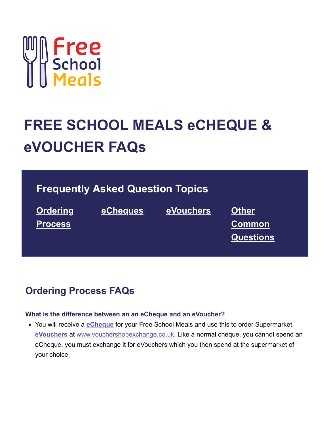

# **FREE SCHOOL MEALS eCHEQUE & eVOUCHER FAQs**

# **Frequently Asked Question Topics**

**Ordering [Process](#page-0-0)**

**[eCheques](#page-2-0) [eVouchers](#page-2-1) Other**

**Common [Questions](#page-3-0)**

### <span id="page-0-0"></span>**Ordering Process FAQs**

#### **What is the difference between an an eCheque and an eVoucher?**

You will receive a **[eCheque](#page-1-0)** for your Free School Meals and use this to order Supermarket **[eVouchers](#page-1-1)** at [www.vouchershopexchange.co.uk.](https://sodexo-engage.com/p/48OT-A0C/www.vouchershopexchange.co.uk) Like a normal cheque, you cannot spend an eCheque, you must exchange it for eVouchers which you then spend at the supermarket of your choice.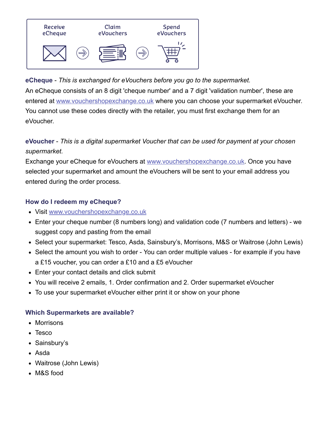

<span id="page-1-0"></span>**eCheque** - *This is exchanged for eVouchers before you go to the supermarket.* An eCheque consists of an 8 digit 'cheque number' and a 7 digit 'validation number', these are entered at [www.vouchershopexchange.co.uk](https://sodexo-engage.com/p/48OT-A0C/www.vouchershopexchange.co.uk) where you can choose your supermarket eVoucher. You cannot use these codes directly with the retailer, you must first exchange them for an eVoucher.

### <span id="page-1-1"></span>**eVoucher** - *This is a digital supermarket Voucher that can be used for payment at your chosen supermarket.*

Exchange your eCheque for eVouchers at [www.vouchershopexchange.co.uk.](https://sodexo-engage.com/p/48OT-A0C/www.vouchershopexchange.co.uk) Once you have selected your supermarket and amount the eVouchers will be sent to your email address you entered during the order process.

### **How do I redeem my eCheque?**

- Visit [www.vouchershopexchange.co.uk](https://sodexo-engage.com/p/48OT-A0C/www.vouchershopexchange.co.uk)
- Enter your cheque number (8 numbers long) and validation code (7 numbers and letters) we suggest copy and pasting from the email
- Select your supermarket: Tesco, Asda, Sainsbury's, Morrisons, M&S or Waitrose (John Lewis)
- Select the amount you wish to order You can order multiple values for example if you have a £15 voucher, you can order a £10 and a £5 eVoucher
- Enter your contact details and click submit
- You will receive 2 emails, 1. Order confirmation and 2. Order supermarket eVoucher
- To use your supermarket eVoucher either print it or show on your phone

### **Which Supermarkets are available?**

- Morrisons
- Tesco
- Sainsbury's
- Asda
- Waitrose (John Lewis)
- M&S food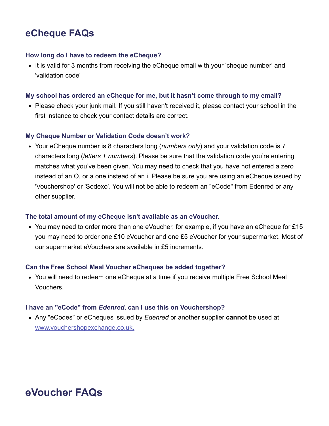## **eCheque FAQs**

#### **How long do I have to redeem the eCheque?**

<span id="page-2-0"></span>• It is valid for 3 months from receiving the eCheque email with your 'cheque number' and 'validation code'

#### **My school has ordered an eCheque for me, but it hasn't come through to my email?**

• Please check your junk mail. If you still haven't received it, please contact your school in the first instance to check your contact details are correct.

#### **My Cheque Number or Validation Code doesn't work?**

Your eCheque number is 8 characters long (*numbers only*) and your validation code is 7 characters long (*letters + numbers*). Please be sure that the validation code you're entering matches what you've been given. You may need to check that you have not entered a zero instead of an O, or a one instead of an i. Please be sure you are using an eCheque issued by 'Vouchershop' or 'Sodexo'. You will not be able to redeem an "eCode" from Edenred or any other supplier.

#### **The total amount of my eCheque isn't available as an eVoucher.**

• You may need to order more than one eVoucher, for example, if you have an eCheque for £15 you may need to order one £10 eVoucher and one £5 eVoucher for your supermarket. Most of our supermarket eVouchers are available in £5 increments.

#### **Can the Free School Meal Voucher eCheques be added together?**

You will need to redeem one eCheque at a time if you receive multiple Free School Meal Vouchers.

#### **I have an "eCode" from** *Edenred***, can I use this on Vouchershop?**

Any "eCodes" or eCheques issued by *Edenred* or another supplier **cannot** be used at [www.vouchershopexchange.co.uk](https://sodexo-engage.com/p/48OT-A0C/www.vouchershopexchange.co.uk).

# <span id="page-2-1"></span>**eVoucher FAQs**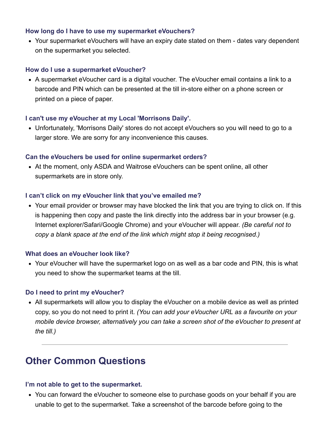#### **How long do I have to use my supermarket eVouchers?**

Your supermarket eVouchers will have an expiry date stated on them - dates vary dependent on the supermarket you selected.

#### **How do I use a supermarket eVoucher?**

A supermarket eVoucher card is a digital voucher. The eVoucher email contains a link to a barcode and PIN which can be presented at the till in-store either on a phone screen or printed on a piece of paper.

#### **I can't use my eVoucher at my Local 'Morrisons Daily'.**

Unfortunately, 'Morrisons Daily' stores do not accept eVouchers so you will need to go to a larger store. We are sorry for any inconvenience this causes.

#### **Can the eVouchers be used for online supermarket orders?**

At the moment, only ASDA and Waitrose eVouchers can be spent online, all other supermarkets are in store only.

#### **I can't click on my eVoucher link that you've emailed me?**

Your email provider or browser may have blocked the link that you are trying to click on. If this is happening then copy and paste the link directly into the address bar in your browser (e.g. Internet explorer/Safari/Google Chrome) and your eVoucher will appear. *(Be careful not to copy a blank space at the end of the link which might stop it being recognised.)*

#### **What does an eVoucher look like?**

• Your eVoucher will have the supermarket logo on as well as a bar code and PIN, this is what you need to show the supermarket teams at the till.

#### **Do I need to print my eVoucher?**

All supermarkets will allow you to display the eVoucher on a mobile device as well as printed copy, so you do not need to print it. *(You can add your eVoucher URL as a favourite on your mobile device browser, alternatively you can take a screen shot of the eVoucher to present at the till.)*

### <span id="page-3-0"></span>**Other Common Questions**

#### **I'm not able to get to the supermarket.**

You can forward the eVoucher to someone else to purchase goods on your behalf if you are unable to get to the supermarket. Take a screenshot of the barcode before going to the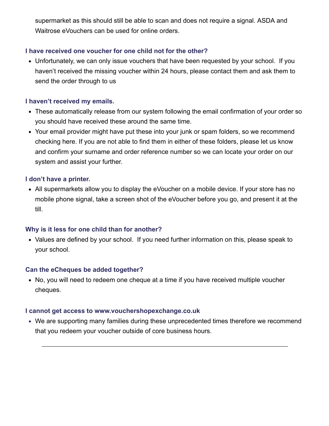supermarket as this should still be able to scan and does not require a signal. ASDA and Waitrose eVouchers can be used for online orders.

#### **I have received one voucher for one child not for the other?**

Unfortunately, we can only issue vouchers that have been requested by your school. If you haven't received the missing voucher within 24 hours, please contact them and ask them to send the order through to us

#### **I haven't received my emails.**

- These automatically release from our system following the email confirmation of your order so you should have received these around the same time.
- Your email provider might have put these into your junk or spam folders, so we recommend checking here. If you are not able to find them in either of these folders, please let us know and confirm your surname and order reference number so we can locate your order on our system and assist your further.

#### **I don't have a printer.**

All supermarkets allow you to display the eVoucher on a mobile device. If your store has no mobile phone signal, take a screen shot of the eVoucher before you go, and present it at the till.

#### **Why is it less for one child than for another?**

Values are defined by your school. If you need further information on this, please speak to your school.

#### **Can the eCheques be added together?**

No, you will need to redeem one cheque at a time if you have received multiple voucher cheques.

#### **I cannot get access to www.vouchershopexchange.co.uk**

We are supporting many families during these unprecedented times therefore we recommend that you redeem your voucher outside of core business hours.